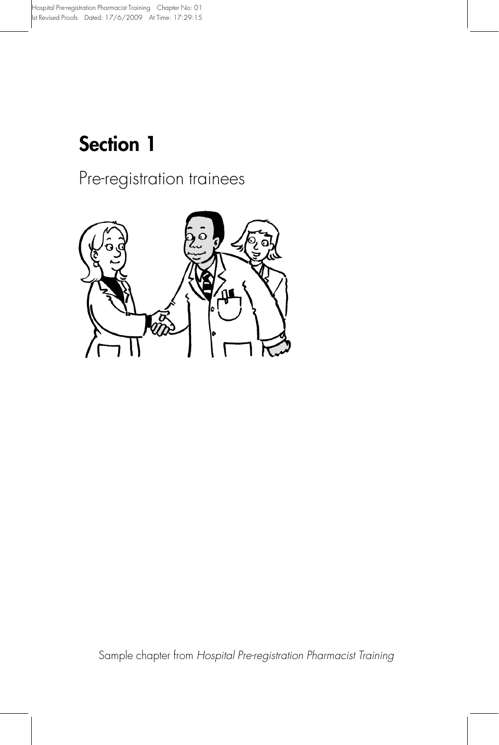# Section 1

Pre-registration trainees

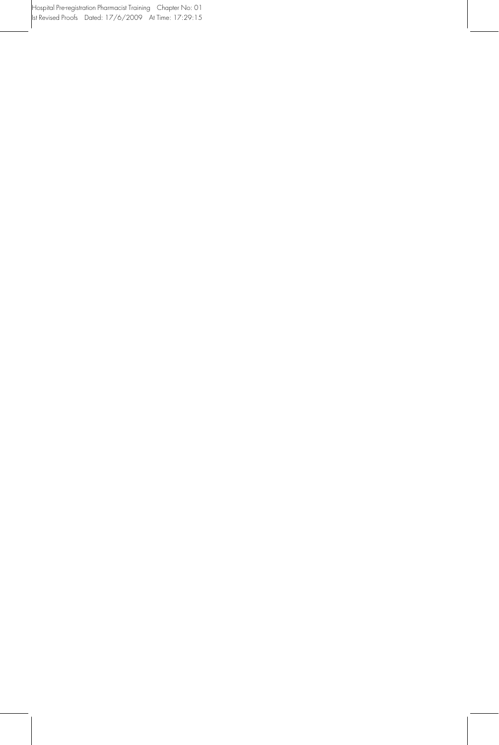Hospital Pre-registration Pharmacist Training Chapter No: 01 Ist Revised Proofs Dated: 17/6/2009 At Time: 17:29:15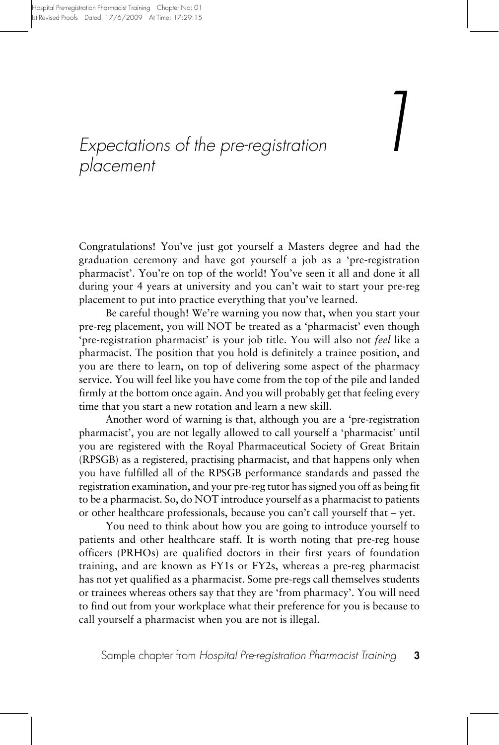# Expectations of the pre-registration  $p = 1$

Congratulations! You've just got yourself a Masters degree and had the graduation ceremony and have got yourself a job as a 'pre-registration pharmacist'. You're on top of the world! You've seen it all and done it all during your 4 years at university and you can't wait to start your pre-reg placement to put into practice everything that you've learned.

1<br>1<br>1

Be careful though! We're warning you now that, when you start your pre-reg placement, you will NOT be treated as a 'pharmacist' even though 'pre-registration pharmacist' is your job title. You will also not feel like a pharmacist. The position that you hold is definitely a trainee position, and you are there to learn, on top of delivering some aspect of the pharmacy service. You will feel like you have come from the top of the pile and landed firmly at the bottom once again. And you will probably get that feeling every time that you start a new rotation and learn a new skill.

Another word of warning is that, although you are a 'pre-registration pharmacist', you are not legally allowed to call yourself a 'pharmacist' until you are registered with the Royal Pharmaceutical Society of Great Britain (RPSGB) as a registered, practising pharmacist, and that happens only when you have fulfilled all of the RPSGB performance standards and passed the registration examination, and your pre-reg tutor has signed you off as being fit to be a pharmacist. So, do NOT introduce yourself as a pharmacist to patients or other healthcare professionals, because you can't call yourself that – yet.

You need to think about how you are going to introduce yourself to patients and other healthcare staff. It is worth noting that pre-reg house officers (PRHOs) are qualified doctors in their first years of foundation training, and are known as FY1s or FY2s, whereas a pre-reg pharmacist has not yet qualified as a pharmacist. Some pre-regs call themselves students or trainees whereas others say that they are 'from pharmacy'. You will need to find out from your workplace what their preference for you is because to call yourself a pharmacist when you are not is illegal.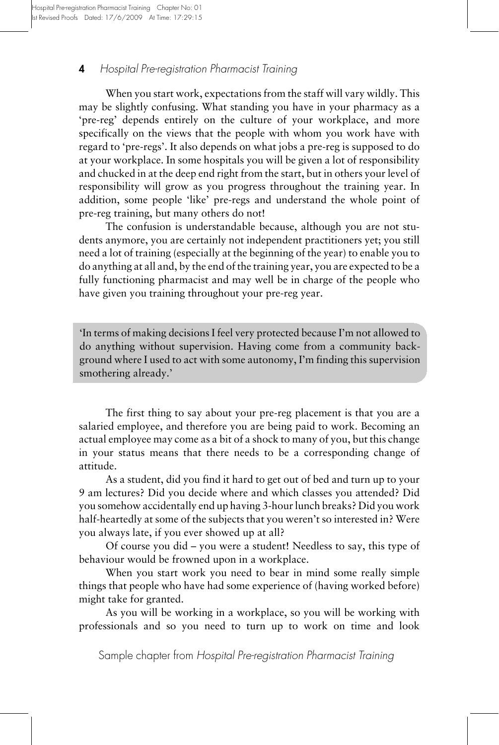When you start work, expectations from the staff will vary wildly. This may be slightly confusing. What standing you have in your pharmacy as a 'pre-reg' depends entirely on the culture of your workplace, and more specifically on the views that the people with whom you work have with regard to 'pre-regs'. It also depends on what jobs a pre-reg is supposed to do at your workplace. In some hospitals you will be given a lot of responsibility and chucked in at the deep end right from the start, but in others your level of responsibility will grow as you progress throughout the training year. In addition, some people 'like' pre-regs and understand the whole point of pre-reg training, but many others do not!

The confusion is understandable because, although you are not students anymore, you are certainly not independent practitioners yet; you still need a lot of training (especially at the beginning of the year) to enable you to do anything at all and, by the end of the training year, you are expected to be a fully functioning pharmacist and may well be in charge of the people who have given you training throughout your pre-reg year.

'In terms of making decisions I feel very protected because I'm not allowed to do anything without supervision. Having come from a community background where I used to act with some autonomy, I'm finding this supervision smothering already.'

The first thing to say about your pre-reg placement is that you are a salaried employee, and therefore you are being paid to work. Becoming an actual employee may come as a bit of a shock to many of you, but this change in your status means that there needs to be a corresponding change of attitude.

As a student, did you find it hard to get out of bed and turn up to your 9 am lectures? Did you decide where and which classes you attended? Did you somehow accidentally end up having 3-hour lunch breaks? Did you work half-heartedly at some of the subjects that you weren't so interested in? Were you always late, if you ever showed up at all?

Of course you did – you were a student! Needless to say, this type of behaviour would be frowned upon in a workplace.

When you start work you need to bear in mind some really simple things that people who have had some experience of (having worked before) might take for granted.

As you will be working in a workplace, so you will be working with professionals and so you need to turn up to work on time and look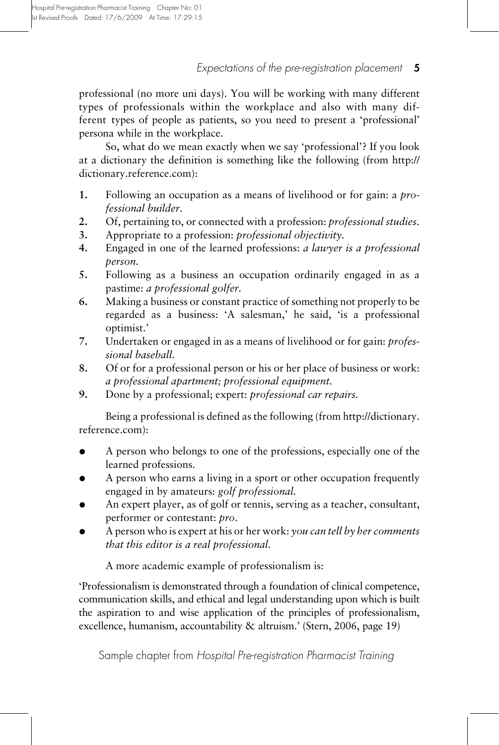professional (no more uni days). You will be working with many different types of professionals within the workplace and also with many different types of people as patients, so you need to present a 'professional' persona while in the workplace.

So, what do we mean exactly when we say 'professional'? If you look at a dictionary the definition is something like the following (from http:// dictionary.reference.com):

- 1. Following an occupation as a means of livelihood or for gain: a professional builder.
- 2. Of, pertaining to, or connected with a profession: *professional studies*.
- 3. Appropriate to a profession: professional objectivity.
- 4. Engaged in one of the learned professions: a lawyer is a professional person.
- 5. Following as a business an occupation ordinarily engaged in as a pastime: a professional golfer.
- 6. Making a business or constant practice of something not properly to be regarded as a business: 'A salesman,' he said, 'is a professional optimist.'
- 7. Undertaken or engaged in as a means of livelihood or for gain: professional baseball.
- 8. Of or for a professional person or his or her place of business or work: a professional apartment; professional equipment.
- 9. Done by a professional; expert: professional car repairs.

Being a professional is defined as the following (from http://dictionary. reference.com):

- A person who belongs to one of the professions, especially one of the learned professions.
- A person who earns a living in a sport or other occupation frequently engaged in by amateurs: golf professional.
- An expert player, as of golf or tennis, serving as a teacher, consultant, performer or contestant: pro.
- A person who is expert at his or her work: you can tell by her comments that this editor is a real professional.

A more academic example of professionalism is:

'Professionalism is demonstrated through a foundation of clinical competence, communication skills, and ethical and legal understanding upon which is built the aspiration to and wise application of the principles of professionalism, excellence, humanism, accountability & altruism.' (Stern, 2006, page 19)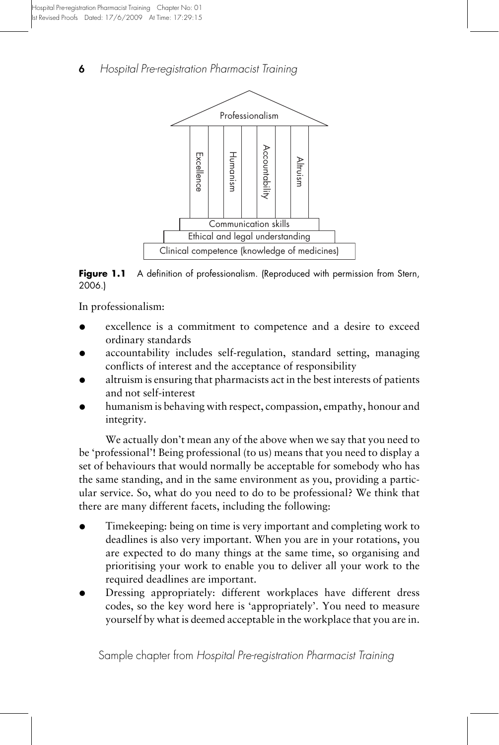

Figure 1.1 A definition of professionalism. (Reproduced with permission from Stern, 2006.)

In professionalism:

- excellence is a commitment to competence and a desire to exceed ordinary standards
- accountability includes self-regulation, standard setting, managing conflicts of interest and the acceptance of responsibility
- altruism is ensuring that pharmacists act in the best interests of patients and not self-interest
- humanism is behaving with respect, compassion, empathy, honour and integrity.

We actually don't mean any of the above when we say that you need to be 'professional'! Being professional (to us) means that you need to display a set of behaviours that would normally be acceptable for somebody who has the same standing, and in the same environment as you, providing a particular service. So, what do you need to do to be professional? We think that there are many different facets, including the following:

- Timekeeping: being on time is very important and completing work to deadlines is also very important. When you are in your rotations, you are expected to do many things at the same time, so organising and prioritising your work to enable you to deliver all your work to the required deadlines are important.
- Dressing appropriately: different workplaces have different dress codes, so the key word here is 'appropriately'. You need to measure yourself by what is deemed acceptable in the workplace that you are in.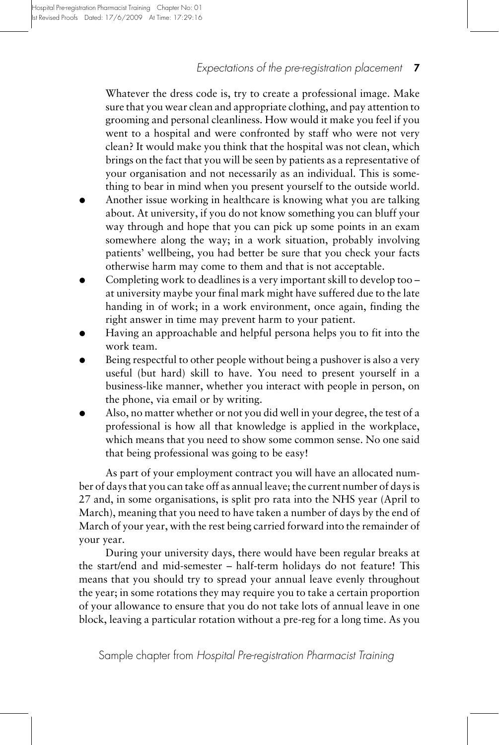## Expectations of the pre-registration placement 7

Whatever the dress code is, try to create a professional image. Make sure that you wear clean and appropriate clothing, and pay attention to grooming and personal cleanliness. How would it make you feel if you went to a hospital and were confronted by staff who were not very clean? It would make you think that the hospital was not clean, which brings on the fact that you will be seen by patients as a representative of your organisation and not necessarily as an individual. This is something to bear in mind when you present yourself to the outside world.

- Another issue working in healthcare is knowing what you are talking about. At university, if you do not know something you can bluff your way through and hope that you can pick up some points in an exam somewhere along the way; in a work situation, probably involving patients' wellbeing, you had better be sure that you check your facts otherwise harm may come to them and that is not acceptable.
- Completing work to deadlines is a very important skill to develop too at university maybe your final mark might have suffered due to the late handing in of work; in a work environment, once again, finding the right answer in time may prevent harm to your patient.
- Having an approachable and helpful persona helps you to fit into the work team.
- Being respectful to other people without being a pushover is also a very useful (but hard) skill to have. You need to present yourself in a business-like manner, whether you interact with people in person, on the phone, via email or by writing.
- Also, no matter whether or not you did well in your degree, the test of a professional is how all that knowledge is applied in the workplace, which means that you need to show some common sense. No one said that being professional was going to be easy!

As part of your employment contract you will have an allocated number of days that you can take off as annual leave; the current number of days is 27 and, in some organisations, is split pro rata into the NHS year (April to March), meaning that you need to have taken a number of days by the end of March of your year, with the rest being carried forward into the remainder of your year.

During your university days, there would have been regular breaks at the start/end and mid-semester – half-term holidays do not feature! This means that you should try to spread your annual leave evenly throughout the year; in some rotations they may require you to take a certain proportion of your allowance to ensure that you do not take lots of annual leave in one block, leaving a particular rotation without a pre-reg for a long time. As you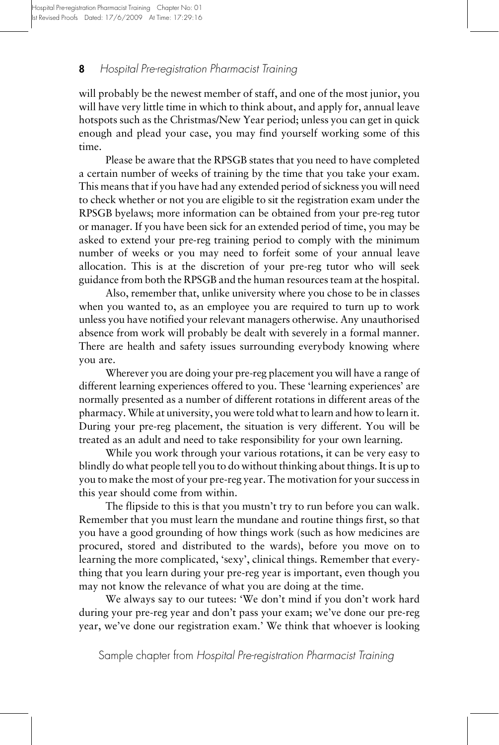will probably be the newest member of staff, and one of the most junior, you will have very little time in which to think about, and apply for, annual leave hotspots such as the Christmas/New Year period; unless you can get in quick enough and plead your case, you may find yourself working some of this time.

Please be aware that the RPSGB states that you need to have completed a certain number of weeks of training by the time that you take your exam. This means that if you have had any extended period of sickness you will need to check whether or not you are eligible to sit the registration exam under the RPSGB byelaws; more information can be obtained from your pre-reg tutor or manager. If you have been sick for an extended period of time, you may be asked to extend your pre-reg training period to comply with the minimum number of weeks or you may need to forfeit some of your annual leave allocation. This is at the discretion of your pre-reg tutor who will seek guidance from both the RPSGB and the human resources team at the hospital.

Also, remember that, unlike university where you chose to be in classes when you wanted to, as an employee you are required to turn up to work unless you have notified your relevant managers otherwise. Any unauthorised absence from work will probably be dealt with severely in a formal manner. There are health and safety issues surrounding everybody knowing where you are.

Wherever you are doing your pre-reg placement you will have a range of different learning experiences offered to you. These 'learning experiences' are normally presented as a number of different rotations in different areas of the pharmacy.While at university, you were told what to learn and how to learn it. During your pre-reg placement, the situation is very different. You will be treated as an adult and need to take responsibility for your own learning.

While you work through your various rotations, it can be very easy to blindly do what people tell you to do without thinking about things. It is up to you to make the most of your pre-reg year. The motivation for your success in this year should come from within.

The flipside to this is that you mustn't try to run before you can walk. Remember that you must learn the mundane and routine things first, so that you have a good grounding of how things work (such as how medicines are procured, stored and distributed to the wards), before you move on to learning the more complicated, 'sexy', clinical things. Remember that everything that you learn during your pre-reg year is important, even though you may not know the relevance of what you are doing at the time.

We always say to our tutees: 'We don't mind if you don't work hard during your pre-reg year and don't pass your exam; we've done our pre-reg year, we've done our registration exam.' We think that whoever is looking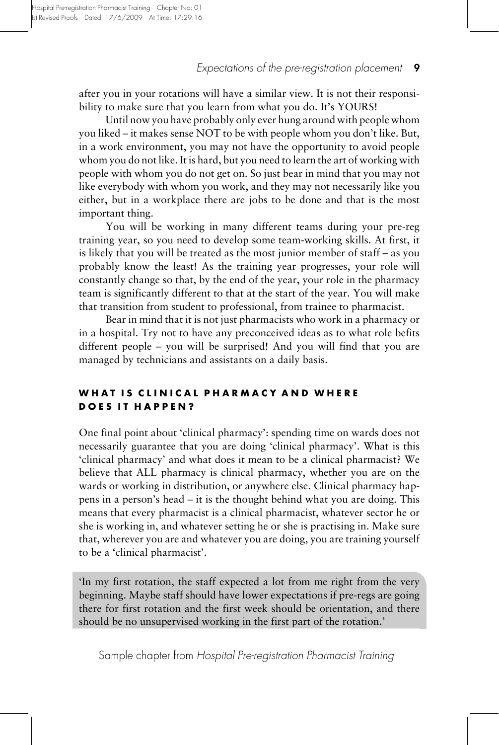after you in your rotations will have a similar view. It is not their responsibility to make sure that you learn from what you do. It's YOURS!

Until now you have probably only ever hung around with people whom you liked – it makes sense NOT to be with people whom you don't like. But, in a work environment, you may not have the opportunity to avoid people whom you do not like. It is hard, but you need to learn the art of working with people with whom you do not get on. So just bear in mind that you may not like everybody with whom you work, and they may not necessarily like you either, but in a workplace there are jobs to be done and that is the most important thing.

You will be working in many different teams during your pre-reg training year, so you need to develop some team-working skills. At first, it is likely that you will be treated as the most junior member of staff – as you probably know the least! As the training year progresses, your role will constantly change so that, by the end of the year, your role in the pharmacy team is significantly different to that at the start of the year. You will make that transition from student to professional, from trainee to pharmacist.

Bear in mind that it is not just pharmacists who work in a pharmacy or in a hospital. Try not to have any preconceived ideas as to what role befits different people – you will be surprised! And you will find that you are managed by technicians and assistants on a daily basis.

#### WHAT IS CLINICAL PHARMACY AND WHERE **DOES IT HAPPEN?** DOES IT HAPPEN?

One final point about 'clinical pharmacy': spending time on wards does not necessarily guarantee that you are doing 'clinical pharmacy'. What is this 'clinical pharmacy' and what does it mean to be a clinical pharmacist? We believe that ALL pharmacy is clinical pharmacy, whether you are on the wards or working in distribution, or anywhere else. Clinical pharmacy happens in a person's head – it is the thought behind what you are doing. This means that every pharmacist is a clinical pharmacist, whatever sector he or she is working in, and whatever setting he or she is practising in. Make sure that, wherever you are and whatever you are doing, you are training yourself to be a 'clinical pharmacist'.

'In my first rotation, the staff expected a lot from me right from the very beginning. Maybe staff should have lower expectations if pre-regs are going there for first rotation and the first week should be orientation, and there should be no unsupervised working in the first part of the rotation.'